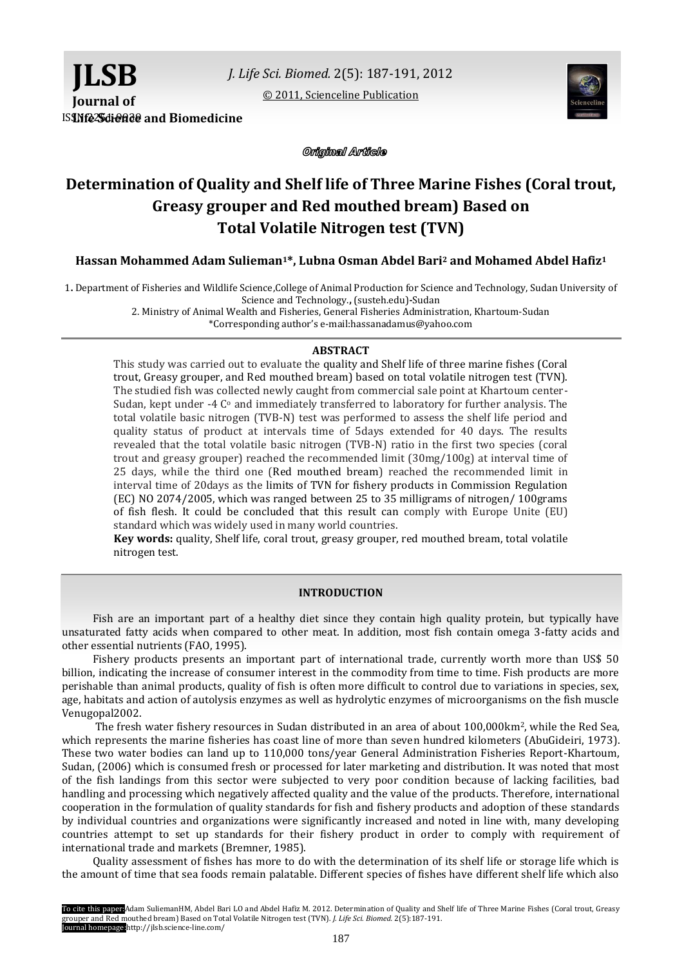[© 2011, Scienceline Publication](http://www.science-line.com/index/)



**ISINfe 25dience** and Biomedicine

Original Article

# **Determination of Quality and Shelf life of Three Marine Fishes (Coral trout, Greasy grouper and Red mouthed bream) Based on Total Volatile Nitrogen test (TVN)**

**Hassan Mohammed Adam Sulieman1\*, Lubna Osman Abdel Bari<sup>2</sup> and Mohamed Abdel Hafiz<sup>1</sup>**

1**.** Department of Fisheries and Wildlife Science,College of Animal Production for Science and Technology, Sudan University of Science and Technology.**,** (susteh.edu)**-**Sudan

2. Ministry of Animal Wealth and Fisheries, General Fisheries Administration, Khartoum-Sudan \*Corresponding author's e-mail:hassanadamus@yahoo.com

# **ABSTRACT**

This study was carried out to evaluate the quality and Shelf life of three marine fishes (Coral trout, Greasy grouper, and Red mouthed bream) based on total volatile nitrogen test (TVN). The studied fish was collected newly caught from commercial sale point at Khartoum center-Sudan, kept under -4  $C<sup>o</sup>$  and immediately transferred to laboratory for further analysis. The total volatile basic nitrogen (TVB-N) test was performed to assess the shelf life period and quality status of product at intervals time of 5days extended for 40 days. The results revealed that the total volatile basic nitrogen (TVB-N) ratio in the first two species (coral trout and greasy grouper) reached the recommended limit (30mg/100g) at interval time of 25 days, while the third one (Red mouthed bream) reached the recommended limit in interval time of 20days as the limits of TVN for fishery products in Commission Regulation (EC) NO 2074/2005, which was ranged between 25 to 35 milligrams of nitrogen/ 100grams of fish flesh. It could be concluded that this result can comply with Europe Unite (EU) standard which was widely used in many world countries.

**Key words:** quality, Shelf life, coral trout, greasy grouper, red mouthed bream, total volatile nitrogen test.

## **INTRODUCTION**

Fish are an important part of a healthy diet since they contain high quality protein, but typically have unsaturated fatty acids when compared to other meat. In addition, most fish contain omega 3-fatty acids and other essential nutrients (FAO, 1995).

Fishery products presents an important part of international trade, currently worth more than US\$ 50 billion, indicating the increase of consumer interest in the commodity from time to time. Fish products are more perishable than animal products, quality of fish is often more difficult to control due to variations in species, sex, age, habitats and action of autolysis enzymes as well as hydrolytic enzymes of microorganisms on the fish muscle Venugopal2002.

The fresh water fishery resources in Sudan distributed in an area of about 100,000km2, while the Red Sea, which represents the marine fisheries has coast line of more than seven hundred kilometers (AbuGideiri, 1973). These two water bodies can land up to 110,000 tons/year General Administration Fisheries Report-Khartoum, Sudan, (2006) which is consumed fresh or processed for later marketing and distribution. It was noted that most of the fish landings from this sector were subjected to very poor condition because of lacking facilities, bad handling and processing which negatively affected quality and the value of the products. Therefore, international cooperation in the formulation of quality standards for fish and fishery products and adoption of these standards by individual countries and organizations were significantly increased and noted in line with, many developing countries attempt to set up standards for their fishery product in order to comply with requirement of international trade and markets (Bremner, 1985).

Quality assessment of fishes has more to do with the determination of its shelf life or storage life which is the amount of time that sea foods remain palatable. Different species of fishes have different shelf life which also

To cite this paper:Adam SuliemanHM, Abdel Bari LO and Abdel Hafiz M. 2012. Determination of Quality and Shelf life of Three Marine Fishes (Coral trout, Greasy grouper and Red mouthed bream) Based on Total Volatile Nitrogen test (TVN). *J. Life Sci. Biomed.* 2(5):187-191. Journal homepage:http://jlsb.science-line.com/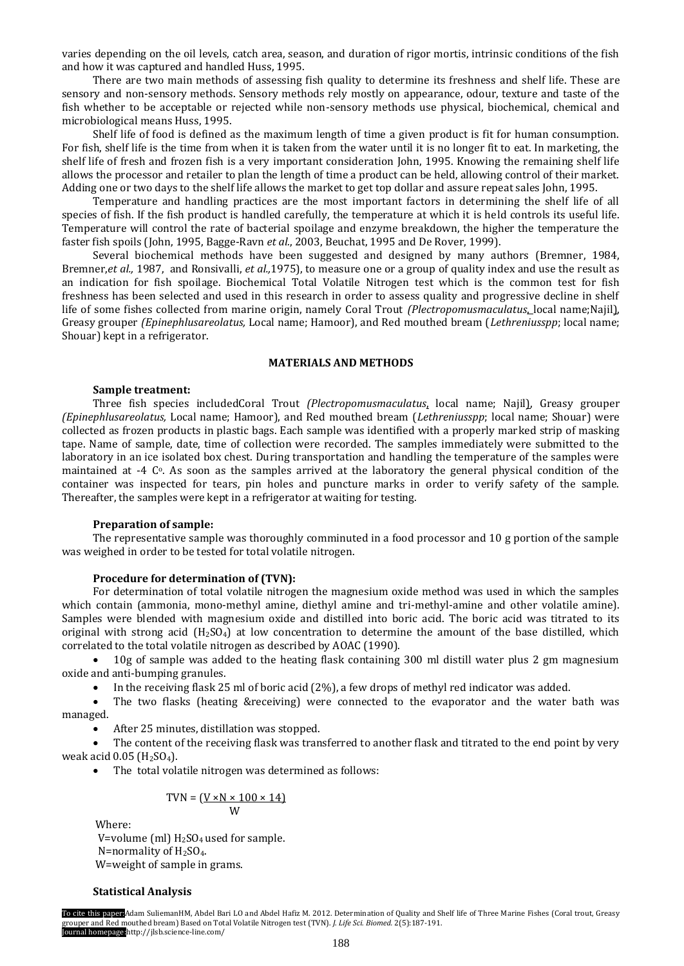varies depending on the oil levels, catch area, season, and duration of rigor mortis, intrinsic conditions of the fish and how it was captured and handled Huss, 1995.

There are two main methods of assessing fish quality to determine its freshness and shelf life. These are sensory and non-sensory methods. Sensory methods rely mostly on appearance, odour, texture and taste of the fish whether to be acceptable or rejected while non-sensory methods use physical, biochemical, chemical and microbiological means Huss, 1995.

Shelf life of food is defined as the maximum length of time a given product is fit for human consumption. For fish, shelf life is the time from when it is taken from the water until it is no longer fit to eat. In marketing, the shelf life of fresh and frozen fish is a very important consideration John, 1995. Knowing the remaining shelf life allows the processor and retailer to plan the length of time a product can be held, allowing control of their market. Adding one or two days to the shelf life allows the market to get top dollar and assure repeat sales John, 1995.

Temperature and handling practices are the most important factors in determining the shelf life of all species of fish. If the fish product is handled carefully, the temperature at which it is held controls its useful life. Temperature will control the rate of bacterial spoilage and enzyme breakdown, the higher the temperature the faster fish spoils (John, 1995, Bagge-Ravn *et al.*, 2003, Beuchat, 1995 and De Rover, 1999).

Several biochemical methods have been suggested and designed by many authors (Bremner, 1984, Bremner,*et al.,* 1987, and Ronsivalli, *et al.,*1975), to measure one or a group of quality index and use the result as an indication for fish spoilage. Biochemical Total Volatile Nitrogen test which is the common test for fish freshness has been selected and used in this research in order to assess quality and progressive decline in shelf life of some fishes collected from marine origin, namely Coral Trout *(Plectropomusmaculatus*, local name;Najil), Greasy grouper *(Epinephlusareolatus,* Local name; Hamoor), and Red mouthed bream (*Lethreniusspp*; local name; Shouar) kept in a refrigerator.

## **MATERIALS AND METHODS**

#### **Sample treatment:**

Three fish species includedCoral Trout *(Plectropomusmaculatus*, local name; Najil), Greasy grouper *(Epinephlusareolatus,* Local name; Hamoor), and Red mouthed bream (*Lethreniusspp*; local name; Shouar) were collected as frozen products in plastic bags. Each sample was identified with a properly marked strip of masking tape. Name of sample, date, time of collection were recorded. The samples immediately were submitted to the laboratory in an ice isolated box chest. During transportation and handling the temperature of the samples were maintained at  $-4$  C<sup>o</sup>. As soon as the samples arrived at the laboratory the general physical condition of the container was inspected for tears, pin holes and puncture marks in order to verify safety of the sample. Thereafter, the samples were kept in a refrigerator at waiting for testing.

### **Preparation of sample:**

The representative sample was thoroughly comminuted in a food processor and 10 g portion of the sample was weighed in order to be tested for total volatile nitrogen.

## **Procedure for determination of (TVN):**

For determination of total volatile nitrogen the magnesium oxide method was used in which the samples which contain (ammonia, mono-methyl amine, diethyl amine and tri-methyl-amine and other volatile amine). Samples were blended with magnesium oxide and distilled into boric acid. The boric acid was titrated to its original with strong acid  $(H_2SO_4)$  at low concentration to determine the amount of the base distilled, which correlated to the total volatile nitrogen as described by AOAC (1990).

 10g of sample was added to the heating flask containing 300 ml distill water plus 2 gm magnesium oxide and anti-bumping granules.

In the receiving flask 25 ml of boric acid (2%), a few drops of methyl red indicator was added.

 The two flasks (heating &receiving) were connected to the evaporator and the water bath was managed.

After 25 minutes, distillation was stopped.

 The content of the receiving flask was transferred to another flask and titrated to the end point by very weak acid  $0.05$  (H<sub>2</sub>SO<sub>4</sub>).

The total volatile nitrogen was determined as follows:

$$
TVN = (\underbrace{V \times N \times 100 \times 14}_{W})
$$

Where:

V=volume (ml)  $H<sub>2</sub>SO<sub>4</sub>$  used for sample. N=normality of  $H<sub>2</sub>SO<sub>4</sub>$ . W=weight of sample in grams.

#### **Statistical Analysis**

To cite this paper:Adam SuliemanHM, Abdel Bari LO and Abdel Hafiz M. 2012. Determination of Quality and Shelf life of Three Marine Fishes (Coral trout, Greasy grouper and Red mouthed bream) Based on Total Volatile Nitrogen test (TVN). *J. Life Sci. Biomed.* 2(5):187-191. Journal homepage:http://jlsb.science-line.com/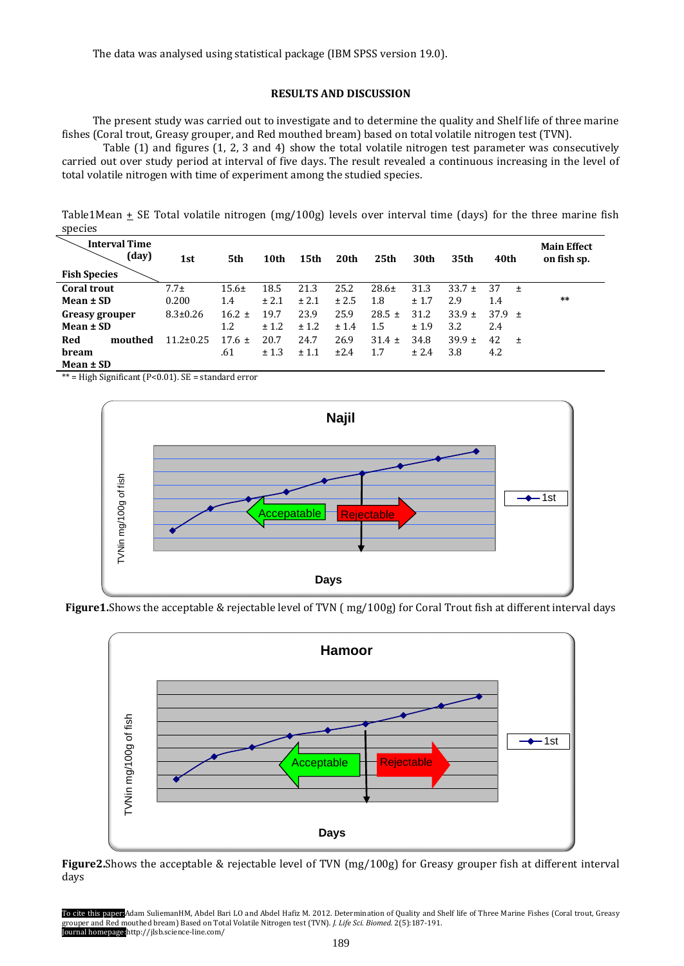# **RESULTS AND DISCUSSION**

The present study was carried out to investigate and to determine the quality and Shelf life of three marine fishes (Coral trout, Greasy grouper, and Red mouthed bream) based on total volatile nitrogen test (TVN).

 Table (1) and figures (1, 2, 3 and 4) show the total volatile nitrogen test parameter was consecutively carried out over study period at interval of five days. The result revealed a continuous increasing in the level of total volatile nitrogen with time of experiment among the studied species.

Table1Mean  $\pm$  SE Total volatile nitrogen (mg/100g) levels over interval time (days) for the three marine fish species

| <b>Interval Time</b><br>(day)<br><b>Fish Species</b> | 1st              | 5th        | 10th  | 15th  | 20th  | 25 <sub>th</sub> | 30th  | 35th       | 40th        | <b>Main Effect</b><br>on fish sp. |
|------------------------------------------------------|------------------|------------|-------|-------|-------|------------------|-------|------------|-------------|-----------------------------------|
| <b>Coral trout</b>                                   | 7.7 <sub>±</sub> | $15.6\pm$  | 18.5  | 21.3  | 25.2  | $28.6+$          | 31.3  | $33.7 \pm$ | 37<br>$\pm$ |                                   |
| Mean ± SD                                            | 0.200            | 1.4        | ± 2.1 | ± 2.1 | ± 2.5 | 1.8              | ± 1.7 | 2.9        | 1.4         | $***$                             |
| Greasy grouper                                       | $8.3 \pm 0.26$   | $16.2 \pm$ | 19.7  | 23.9  | 25.9  | $28.5 \pm$       | 31.2  | $33.9 \pm$ | 37.9 $\pm$  |                                   |
| Mean $\pm$ SD                                        |                  | 1.2        | ± 1.2 | ± 1.2 | ± 1.4 | 1.5              | ±1.9  | 3.2        | 2.4         |                                   |
| Red<br>mouthed                                       | $11.2 \pm 0.25$  | $17.6 \pm$ | 20.7  | 24.7  | 26.9  | $31.4 \pm$       | 34.8  | $39.9 \pm$ | 42<br>$\pm$ |                                   |
| bream                                                |                  | .61        | ± 1.3 | ± 1.1 | ±2.4  | 1.7              | ± 2.4 | 3.8        | 4.2         |                                   |
| Mean ± SD                                            |                  |            |       |       |       |                  |       |            |             |                                   |

\*\* = High Significant (P<0.01). SE = standard error



**Figure1.**Shows the acceptable & rejectable level of TVN ( mg/100g) for Coral Trout fish at different interval days



**Figure2.**Shows the acceptable & rejectable level of TVN (mg/100g) for Greasy grouper fish at different interval days

To cite this paper:Adam SuliemanHM, Abdel Bari LO and Abdel Hafiz M. 2012. Determination of Quality and Shelf life of Three Marine Fishes (Coral trout, Greasy grouper and Red mouthed bream) Based on Total Volatile Nitrogen test (TVN). *J. Life Sci. Biomed.* 2(5):187-191. Journal homepage:http://jlsb.science-line.com/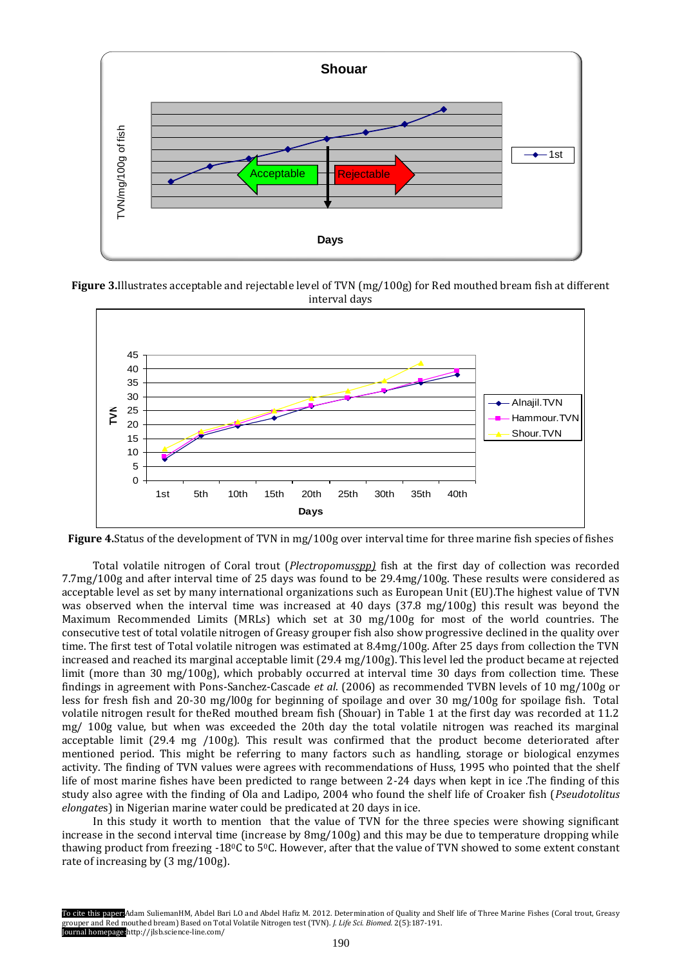

**Figure 3.**Illustrates acceptable and rejectable level of TVN (mg/100g) for Red mouthed bream fish at different interval days



**Figure 4.**Status of the development of TVN in mg/100g over interval time for three marine fish species of fishes

Total volatile nitrogen of Coral trout (*Plectropomusspp)* fish at the first day of collection was recorded 7.7mg/100g and after interval time of 25 days was found to be 29.4mg/100g. These results were considered as acceptable level as set by many international organizations such as European Unit (EU).The highest value of TVN was observed when the interval time was increased at 40 days (37.8 mg/100g) this result was beyond the Maximum Recommended Limits (MRLs) which set at 30 mg/100g for most of the world countries. The consecutive test of total volatile nitrogen of Greasy grouper fish also show progressive declined in the quality over time. The first test of Total volatile nitrogen was estimated at 8.4mg/100g. After 25 days from collection the TVN increased and reached its marginal acceptable limit (29.4 mg/100g). This level led the product became at rejected limit (more than 30 mg/100g), which probably occurred at interval time 30 days from collection time. These findings in agreement with Pons-Sanchez-Cascade *et al*. (2006) as recommended TVBN levels of 10 mg/100g or less for fresh fish and 20-30 mg/l00g for beginning of spoilage and over 30 mg/100g for spoilage fish. Total volatile nitrogen result for theRed mouthed bream fish (Shouar) in Table 1 at the first day was recorded at 11.2 mg/ 100g value, but when was exceeded the 20th day the total volatile nitrogen was reached its marginal acceptable limit (29.4 mg /100g). This result was confirmed that the product become deteriorated after mentioned period. This might be referring to many factors such as handling, storage or biological enzymes activity. The finding of TVN values were agrees with recommendations of Huss, 1995 who pointed that the shelf life of most marine fishes have been predicted to range between 2-24 days when kept in ice .The finding of this study also agree with the finding of Ola and Ladipo, 2004 who found the shelf life of Croaker fish (*Pseudotolitus elongate*s) in Nigerian marine water could be predicated at 20 days in ice. Figure 3.Illustrates acceptable and<br>
Figure 3.Illustrates acceptable and<br>  $\frac{45}{36}$ <br>  $\frac{20}{30}$ <br>  $\leq \frac{25}{20}$ <br>  $\leq \frac{25}{15}$ <br>  $\leq \frac{25}{15}$ <br>  $\leq \frac{25}{15}$ <br>  $\leq \frac{25}{15}$ <br>  $\leq \frac{25}{15}$ <br>  $\leq \frac{25}{15}$ <br>  $\leq \frac{25$ 

In this study it worth to mention that the value of TVN for the three species were showing significant increase in the second interval time (increase by 8mg/100g) and this may be due to temperature dropping while thawing product from freezing -180C to 50C. However, after that the value of TVN showed to some extent constant

To cite this paper:Adam SuliemanHM, Abdel Bari LO and Abdel Hafiz M. 2012. Determination of Quality and Shelf life of Three Marine Fishes (Coral trout, Greasy grouper and Red mouthed bream) Based on Total Volatile Nitrogen test (TVN). *J. Life Sci. Biomed.* 2(5):187-191. Journal homepage:http://jlsb.science-line.com/